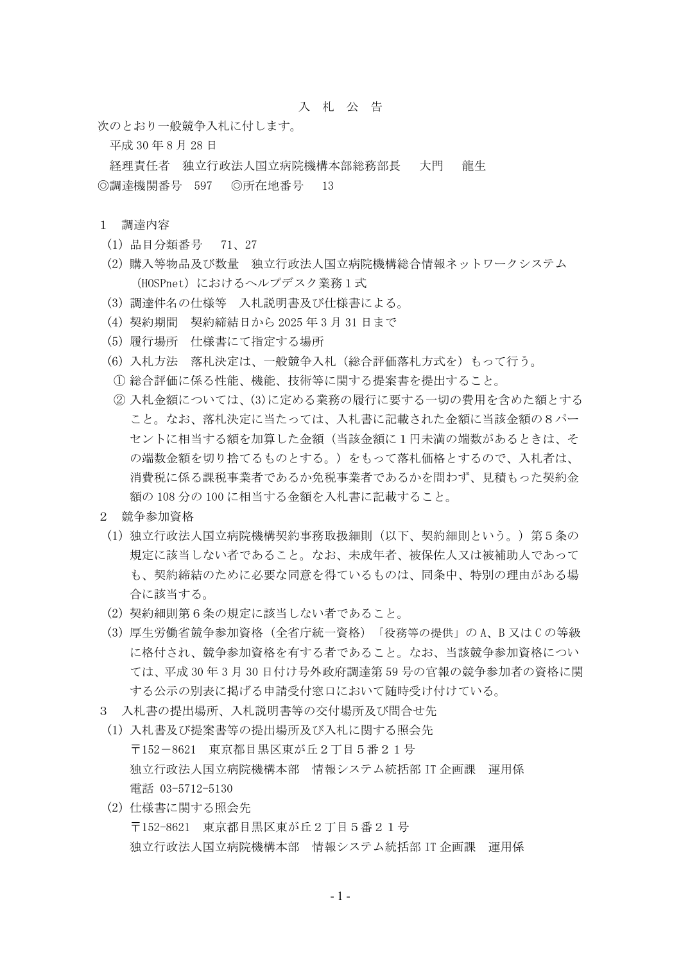## 入 札 公 告

次のとおり一般競争入札に付します。

平成 30 年 8 月 28 日

経理責任者 独立行政法人国立病院機構本部総務部長 大門 龍生 ◎調達機関番号 597 ◎所在地番号 13

## 1 調達内容

- (1) 品目分類番号 71、27
- (2) 購入等物品及び数量 独立行政法人国立病院機構総合情報ネットワークシステム (HOSPnet) におけるヘルプデスク業務1式
- (3) 調達件名の仕様等 入札説明書及び仕様書による。
- (4) 契約期間 契約締結日から 2025 年 3 月 31 日まで
- (5) 履行場所 仕様書にて指定する場所
- (6) 入札方法 落札決定は、一般競争入札(総合評価落札方式を)もって行う。
- ① 総合評価に係る性能、機能、技術等に関する提案書を提出すること。
- ② 入札金額については、(3)に定める業務の履行に要する一切の費用を含めた額とする こと。なお、落札決定に当たっては、入札書に記載された金額に当該金額の8パー セントに相当する額を加算した金額(当該金額に1円未満の端数があるときは、そ の端数金額を切り捨てるものとする。)をもって落札価格とするので、入札者は、 消費税に係る課税事業者であるか免税事業者であるかを問わず、見積もった契約金 額の 108 分の 100 に相当する金額を入札書に記載すること。
- 2 競争参加資格
	- (1) 独立行政法人国立病院機構契約事務取扱細則(以下、契約細則という。)第5条の 規定に該当しない者であること。なお、未成年者、被保佐人又は被補助人であって も、契約締結のために必要な同意を得ているものは、同条中、特別の理由がある場 合に該当する。
	- (2) 契約細則第6条の規定に該当しない者であること。
	- (3) 厚生労働省競争参加資格(全省庁統一資格)「役務等の提供」の A、B 又は C の等級 に格付され、競争参加資格を有する者であること。なお、当該競争参加資格につい ては、平成 30 年 3 月 30 日付け号外政府調達第 59 号の官報の競争参加者の資格に関 する公示の別表に掲げる申請受付窓口において随時受け付けている。
- 3 入札書の提出場所、入札説明書等の交付場所及び問合せ先
	- (1) 入札書及び提案書等の提出場所及び入札に関する照会先 〒152-8621 東京都目黒区東が丘2丁目5番21号 独立行政法人国立病院機構本部 情報システム統括部 IT 企画課 運用係 電話 03-5712-5130
	- (2) 仕様書に関する照会先 〒152-8621 東京都目黒区東が丘2丁目5番21号 独立行政法人国立病院機構本部 情報システム統括部 IT 企画課 運用係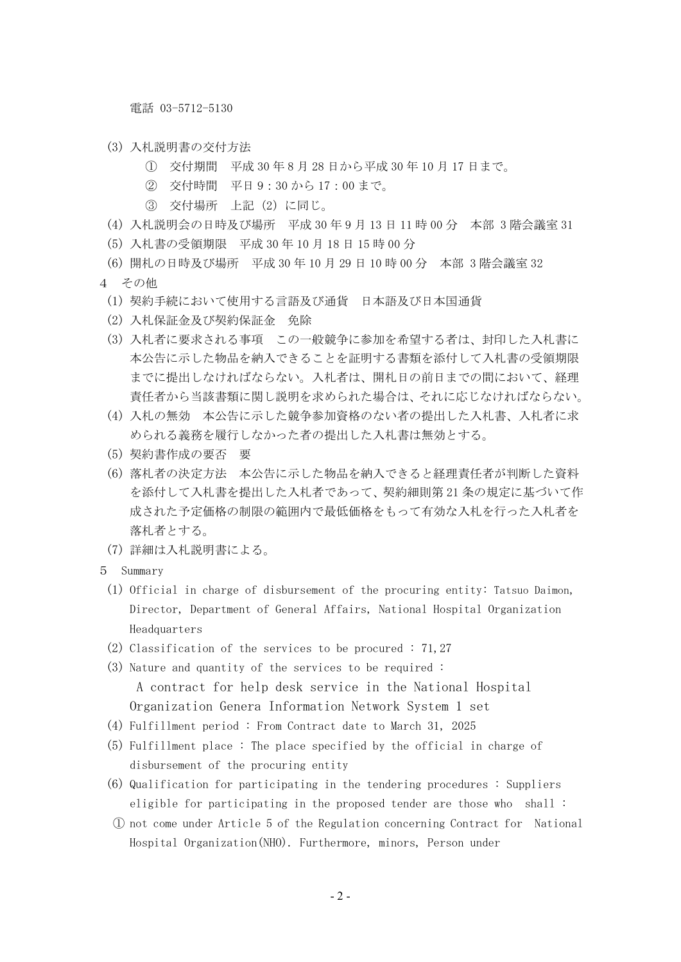電話 03-5712-5130

- (3) 入札説明書の交付方法
	- ① 交付期間 平成 30 年 8 月 28 日から平成 30 年 10 月 17 日まで。
	- ② 交付時間 平日 9:30 から 17:00 まで。
	- ③ 交付場所 上記(2)に同じ。
- (4) 入札説明会の日時及び場所 平成 30 年 9 月 13 日 11 時 00 分 本部 3 階会議室 31
- (5) 入札書の受領期限 平成 30 年 10 月 18 日 15 時 00 分
- (6) 開札の日時及び場所 平成 30 年 10 月 29 日 10 時 00 分 本部 3 階会議室 32
- 4 その他
	- (1) 契約手続において使用する言語及び通貨 日本語及び日本国通貨
	- (2) 入札保証金及び契約保証金 免除
	- (3) 入札者に要求される事項 この一般競争に参加を希望する者は、封印した入札書に 本公告に示した物品を納入できることを証明する書類を添付して入札書の受領期限 までに提出しなければならない。入札者は、開札日の前日までの間において、経理 責任者から当該書類に関し説明を求められた場合は、それに応じなければならない。
	- (4) 入札の無効 本公告に示した競争参加資格のない者の提出した入札書、入札者に求 められる義務を履行しなかった者の提出した入札書は無効とする。
	- (5) 契約書作成の要否 要
	- (6) 落札者の決定方法 本公告に示した物品を納入できると経理責任者が判断した資料 を添付して入札書を提出した入札者であって、契約細則第 21 条の規定に基づいて作 成された予定価格の制限の範囲内で最低価格をもって有効な入札を行った入札者を 落札者とする。
	- (7) 詳細は入札説明書による。
- 5 Summary
	- (1) Official in charge of disbursement of the procuring entity: Tatsuo Daimon, Director, Department of General Affairs, National Hospital Organization Headquarters
	- (2) Classification of the services to be procured : 71,27
	- (3) Nature and quantity of the services to be required : A contract for help desk service in the National Hospital Organization Genera Information Network System 1 set
	- (4) Fulfillment period : From Contract date to March 31, 2025
	- (5) Fulfillment place : The place specified by the official in charge of disbursement of the procuring entity
	- (6) Qualification for participating in the tendering procedures : Suppliers eligible for participating in the proposed tender are those who shall :
	- ① not come under Article 5 of the Regulation concerning Contract for National Hospital Organization(NHO). Furthermore, minors, Person under